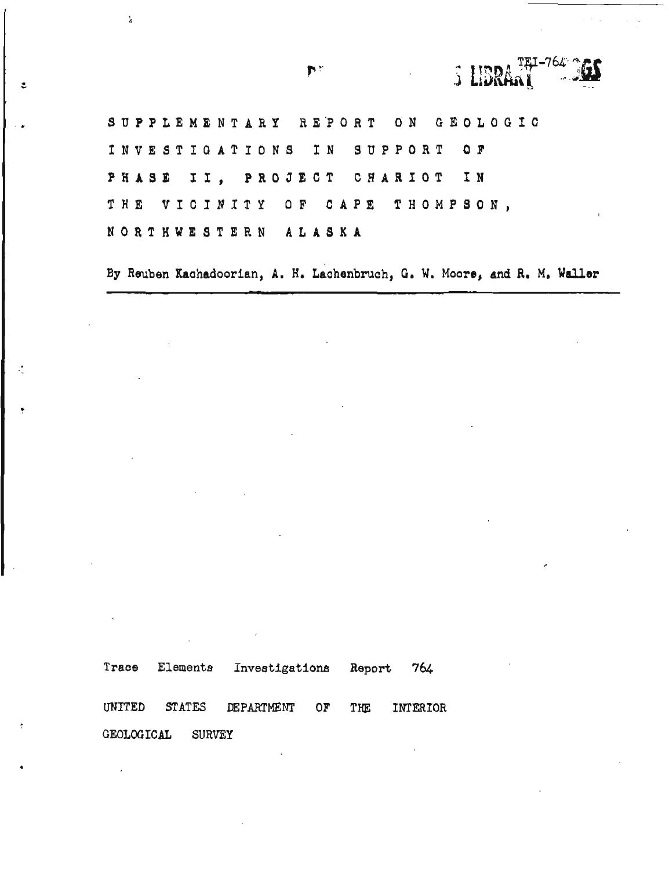**S UBR SUPPLEMENTARY HEPORT ON GEOLOGIC INVESTIGATIONS IN SUPPORT OF PHASE 11, PROJECT CHARIOT IN THE VICINITY OF CAPE THOMPSON,** <sup>I</sup> **NORTHWESTERN ALASKA** 

**By Reuben Kachadoorlan, A. H. Lachenbruch, G. W, Moore, and R, M, Waller** 

**Trace Elements Investigations Report 764**  UNITED **STATES DEPARTMENT OF THE** INTERIOR **GEOLOGICAL SURVEY** 

**Nº** 

Å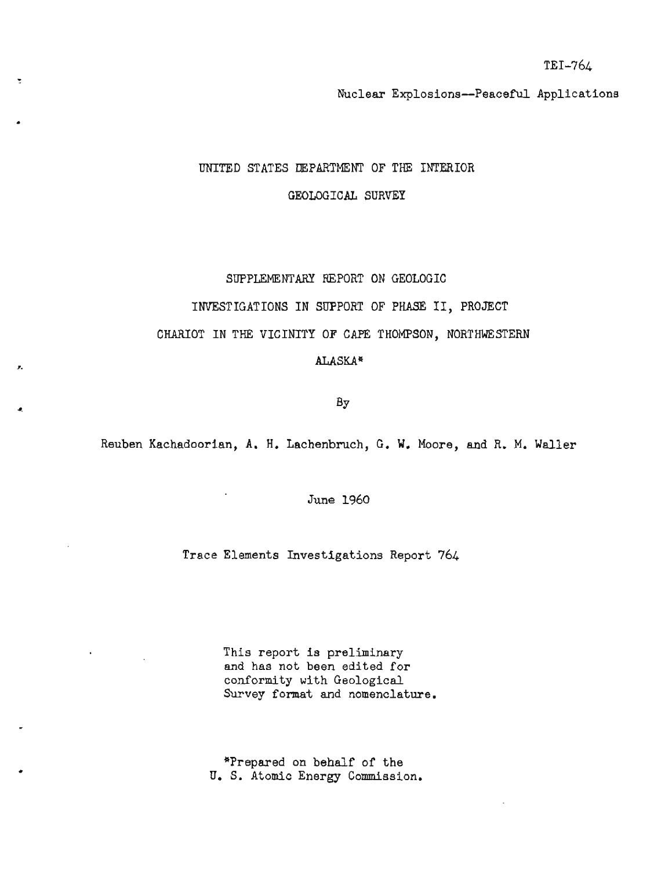TEI-764

Nuclear Explosions--Peaceful Applications

UNITED STATES DEPARTMENT OF THE INTERIOR GEOLOGICAL SURVEY

## SUPPLEMENTARY REPORT ON GEOLOGIC

INVESTIGATIONS IN SUPPORT OF PHASE 11, PROJECT

CHARIOT IN THE VICINITY OF CAPE THOMPSON, NORTHWESTERN

ALASKA\*

Bу

Reuben Kachadoorian, A. H. Lachenbruch, G. W. Moore, and R. M. Waller

June 1960

Trace Elements Investigations Report 764

This report is preliminary and has not been edited for conformity with Geological Survey format and nomenclature.

"Prepared on behalf of the U. S. Atomic Energy Commission.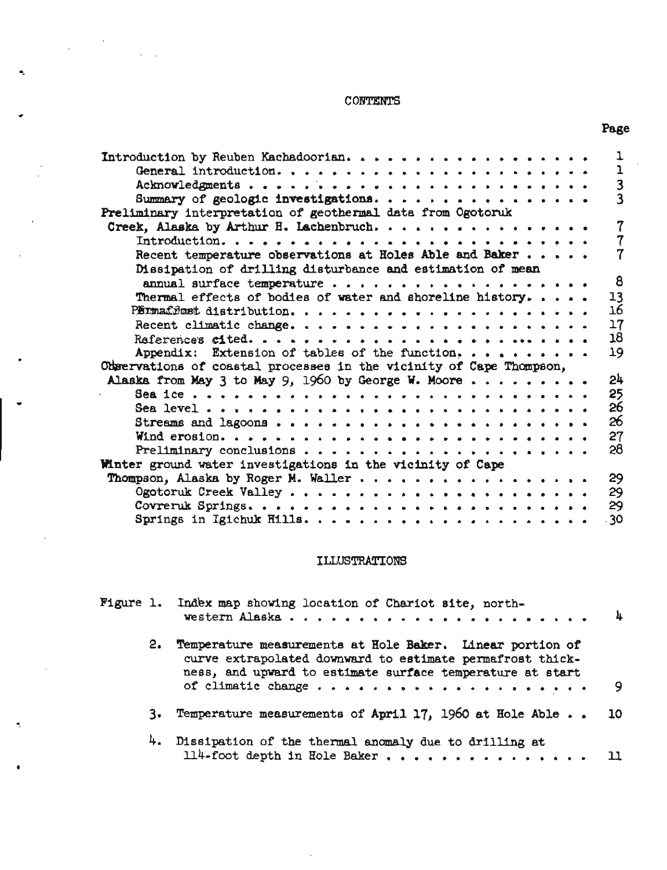## CONTENTS

| Introduction by Reuben Kachadoorian.                                  | ļ                       |
|-----------------------------------------------------------------------|-------------------------|
|                                                                       | ı                       |
| Acknowledgments                                                       | $\overline{\mathbf{3}}$ |
| Summary of geologic investigations.                                   | $\overline{3}$          |
| Preliminary interpretation of geothermal data from Ogotoruk           |                         |
|                                                                       | $\overline{7}$          |
| $\text{Introduction, } \ldots \ldots \ldots \ldots \ldots$            | 7                       |
| Recent temperature observations at Holes Able and Baker $\cdots$      |                         |
| Dissipation of drilling disturbance and estimation of mean            |                         |
|                                                                       | 8                       |
|                                                                       |                         |
| Thermal effects of bodies of water and shoreline history.             | 13                      |
|                                                                       | 16                      |
|                                                                       | 17                      |
| Raferences eited                                                      | 18                      |
| Appendix: Extension of tables of the function, $\cdots$ , , , , , , . | 19                      |
| Odgervations of coastal processes in the vicinity of Cape Thompson,   |                         |
| Alaska from May 3 to May 9, 1960 by George W. Moore                   | 24                      |
|                                                                       | 25                      |
|                                                                       | 26                      |
|                                                                       | 26                      |
| Wind erosion                                                          | 27                      |
|                                                                       | 28                      |
|                                                                       |                         |
| Winter ground water investigations in the vicinity of Cape            |                         |
| Thompson, Alaska by Roger M. Waller                                   | 29                      |
|                                                                       | 29                      |
|                                                                       | 29                      |
|                                                                       | $-30$                   |
|                                                                       |                         |

## ILLUSTRATIONS

|    | Figure 1. Index map showing location of Chariot site, north-                                                                                                                                              | J. |
|----|-----------------------------------------------------------------------------------------------------------------------------------------------------------------------------------------------------------|----|
| 2. | Temperature measurements at Hole Baker. Linear portion of<br>curve extrapolated downward to estimate permafrost thick-<br>ness, and upward to estimate surface temperature at start<br>of climatic change | 9  |
| з. | Temperature measurements of April 17, 1960 at Hole Able 10                                                                                                                                                |    |
|    | 4. Dissipation of the thermal anomaly due to drilling at<br>114-foot depth in Hole Baker                                                                                                                  |    |

# Page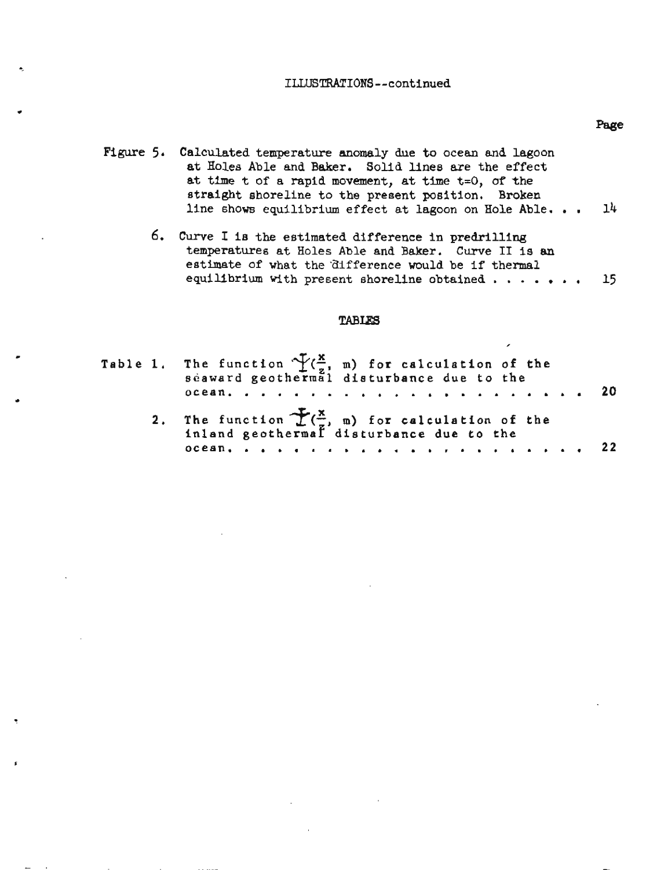## **ILLUSTRATIONS--continued**

- Figure 5. Calculated temperature anomaly due to ocean and lagoon at Holes Able and Baker. Solid lines are the effect at time t of a rapid movement, at time t=0, of the straight shoreline to the present position. **Broken**  line shows equilibrium effect at lagoon on Hole Able. . .  $14$ 
	- *6,* Curve I is the estimated difference in predrilling temperatures at Holes Able and Baker. Curve **I1** is an estimate of what the difference **would** be if thermal equilibrium with present shoreline obtained  $\ldots$ .... 15

#### TABLES

|  | Table 1. The function $\frac{X}{2}(\frac{x}{z}, m)$ for calculation of the seaward geothermal disturbance due to the |  |  |  |  |  |  |  |
|--|----------------------------------------------------------------------------------------------------------------------|--|--|--|--|--|--|--|
|  |                                                                                                                      |  |  |  |  |  |  |  |
|  | 2. The function $\mathcal{L}(\frac{x}{n})$ for calculation of the<br>inland geothermal disturbance due to the        |  |  |  |  |  |  |  |
|  |                                                                                                                      |  |  |  |  |  |  |  |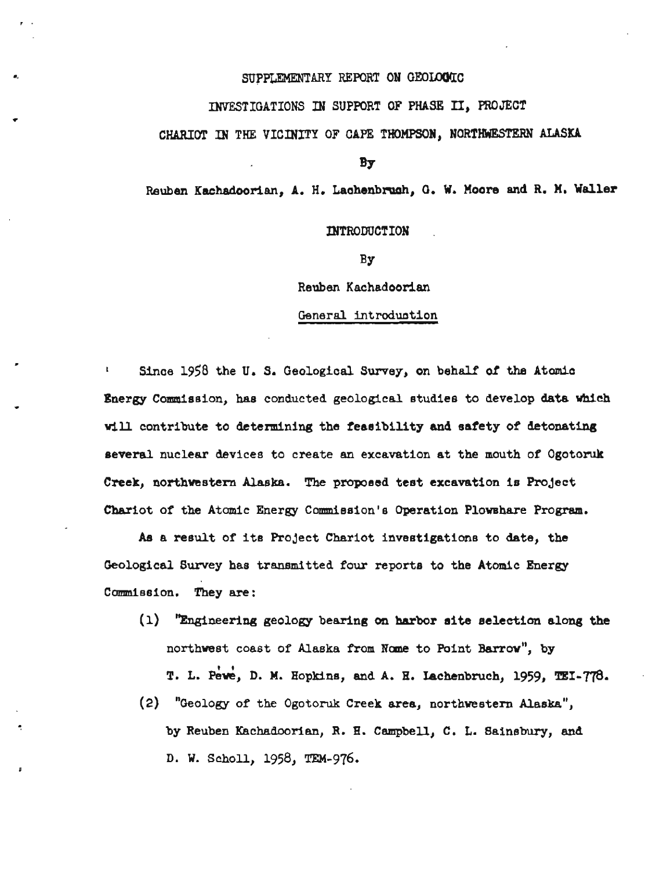## SUPPLEMENTARY REPORT ON GEOLOGIC

**INVESTIGATIONS IN SUPPORT OF PHASE 11, PROJECT** 

## **CHARIOT IN THE VICINITY OF CAPE THOMPSON, NORTHWESTEW ALASKA**

**BY** 

**Reuben Kachadoorian, A. H. Laahenbrwh, O. W. Moore and R. If. Waller** 

**INTRODUCTION** 

**BY** 

**Reuben Kachadoorian** 

#### General introduction

**1** Since 1958 the U. S. Geological Survey, on behalf of the Atomic **Bnergy Commission, has conducted geological studies to develop data which MU, contribute to determining the feasibility and safety of detonating several nuclear devices to create an excavation at the mouth of Ogotoruk Creek, northwestern Alaska. The proposed test excavation is Project**  Chariot of the Atomic Energy Commission's Operation Plowshare Program.

**As a result of its Project Chariot investigations to date, the Geological Survey has transmitted four reports to the Atomic Energy Conrmiesion. They are:** 

- **(1) '%~ngineering geology bearing on harbor site selection along the northwest coast of Alaska from Nome to Point Barrow", by** T. L. Pewe, D. M. Hopkins, and A. H. Lachenbruch, 1959, TEI-778.
- **(2) "Geology of the Ogotoruk Creek area, northwestern Alaska", by Reuben Kachadoorian, R. H. Campbell, C. L. Sainsbury, and D. W. Scholl, 1958, TEM-976.**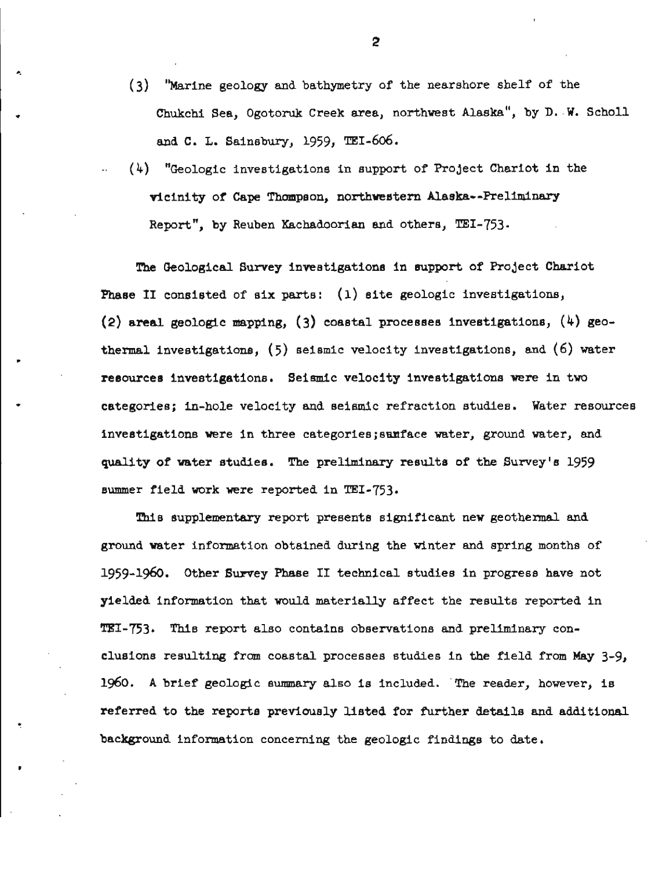- **(3)** "Marine geology and bathymetry of the nearshore shelf of the Chukchi Sea, Ogotoruk Creek area, northwest Alaska", by D. W. Scholl and C. L. Sainsbury, 1959, TEI-606.
- (4) "Geologic Investigations in support of Project Chariot in the vicinity of Cape Thompson, northwestern Alaska--Preliminary Report", by Reuben Kachadoorian and others, TEI-753.

The Geological Survey investigations in support of ProJect Chariot Phase **11** consisted of six parts: (1) site geologic investigations, (2) areal geologic mapping, (3) coastal processes investigations,  $(4)$  geothermal investigations, (5) seismic velocity investigations, and (6) water **<sup>9</sup>** resources investigations. Seismic velocity investigations were in two categories; in-hole velocity and seismic refraction studies. Water resources investigations were in three categories;sanface water, ground water, and quality of water studies. The preliminary results of the Survey's 1959 summer field work were reported in TEI-753.

This supplementary report presents significant new geothermal and ground water information obtained during the winter and spring months of 1959-1960. Other Survey Phase I1 technical studies in progress have not yielded information that would materially affect the results reported in TEI-753. This report also contains observations and preliminary conclusions resulting from coastal processes studies in the field from May 3-9, 1960. **A** brief geologic summary also is included. 'The reader, however, is referred to the reports previously listed for further details and additional background information concerning the geologic findings to date.

**t**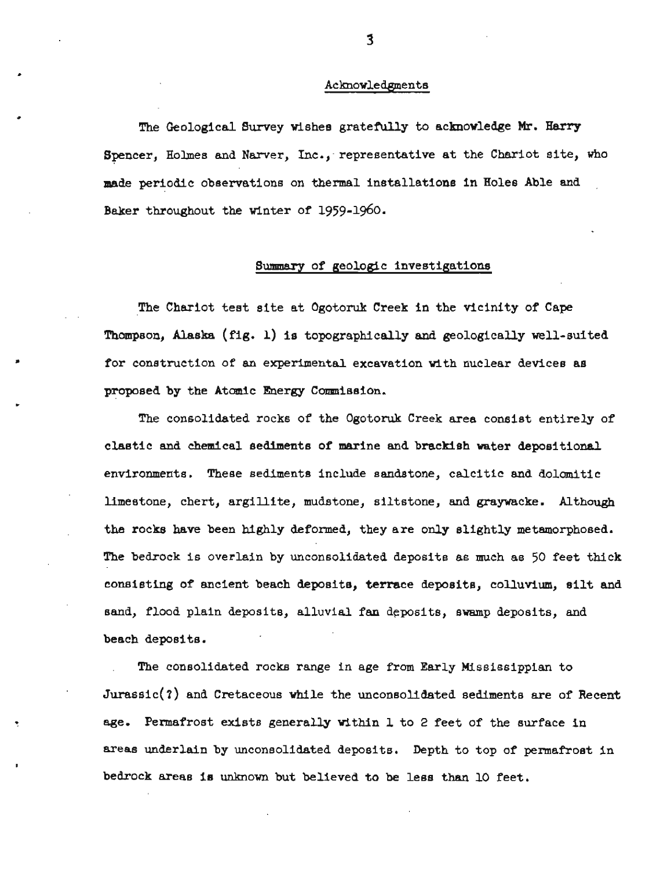#### Acknowledgments

The Geological Survey wishes gratefully to acknowledge Mr. Harry Spencer, Holmes and Narver, Inc., representative at the Chariot site, who made periodic observations on thermal installations in Holes Able and Baker throughout the winter of 1959-1960.

### **Summary** of geologic investigations

The Chariot test site at Ogotoruk Creek in the vicinity of Cape Thompson, Alaska (fig. 1) is topographically and geologically well-suited for construction of an experimental excavation with nuclear devices as proposed by the Atomic Energy Commission.

The consolidated rocks of the Ogotoruk Creek area consist entirely of clastic and chemical sediments of marine and brackish water depositional environments. These sediments include sandstone, calcitic and dolomitic limestone, chert, argillite, mudstone, siltstone, and graywacke. Although the rocks have been highly deformed, they are only slightly metamorphosed. The bedrock is overlain by unconsolidated deposits as much as **50** feet thick consisting of ancient beach deposits, terrace deposits, colluvium, silt and sand, flood plain deposits, alluvial fan deposits, swamp deposits, and beach deposits.

The consolidated rocks range in age from Early Mississippian to  $Jurassic(?)$  and Cretaceous while the unconsolidated sediments are of Recent age. Permafrost exists generally within 1 to 2 feet of the surface in areas underlain by unconsolidated deposits. Depth to top of permafrost in bedrock areas Is unknown but believed to be less than 10 feet.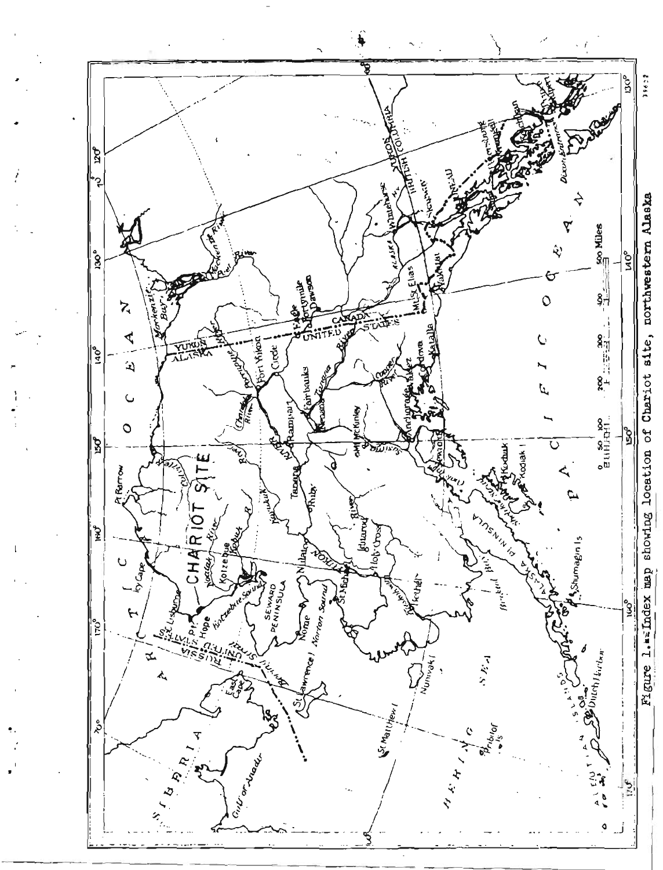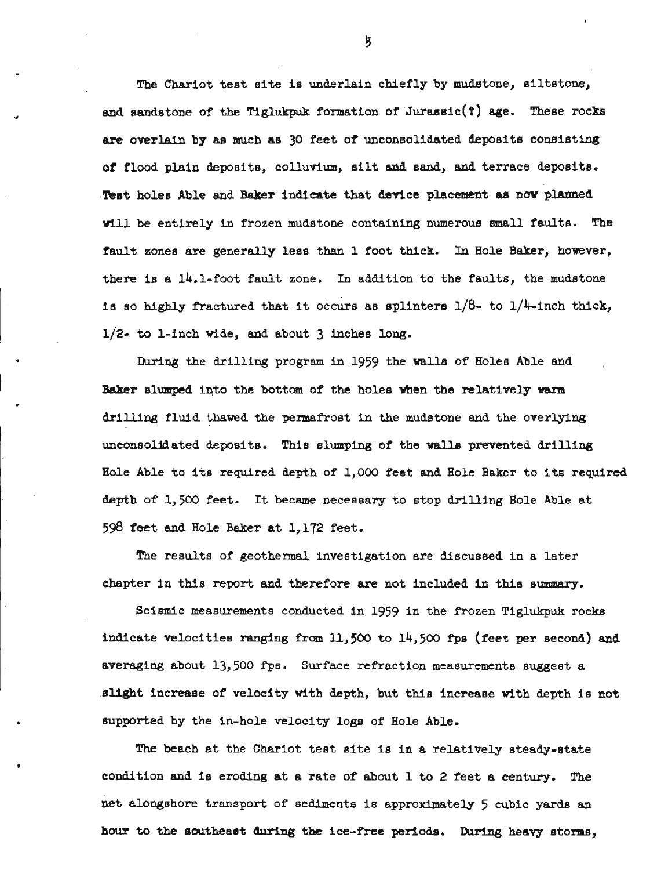The Chariot test site is underlain chiefly by mudstone, siltstone, and sandstone of the Tiglukpuk formation of Jurassic(?) age. These rocks **are** overlain by as much as **30** feet of unconsolidated deposits consisting of flood plain deposits, colluvlum, silt and sand, and terrace deposits, Test holes Able and Baker indieate that **device** placement as now planned will be entirely in frozen mdstone containing numerous small faults. The fault zones are generally less than 1 foot thick. In Hole Baker, however, there is a  $14.1$ -foot fault zone. In addition to the faults, the mudstone is so highly fractured that it occurs as splinters  $1/8$ - to  $1/4$ -inch thick, 1/20 **to** 1-inch wide, and about 3 inches long.

During the drilling program in 1959 the walls of Holes Able and Baker slumped into the bottom of the holes when the relatively warm drilling fluid thawed the permafrost in the mudstone and the overlying unconsolidated deposits. This slumping of the **walls** prevented drilling Hole Able to its required depth of 1,000 feet and Hole Baker to its required depth of 1,500 feet. It became necessary to stop drilling Hole Able at 598 feet and Hole Baker at 1,172 feet.

The results of geothermal investigation are discussed in a later chapter in this report and therefore are not included in this summary.

Seismic measurements conducted in 1959 in the frozen Tiglukpuk rocks indicate velocities ranging from 11,500 to 14,500 fps (feet per second) and averaging about 13,500 **as.** Surface refraction measurements suggest a slight increase of velocity with depth, but this increase wlth depth is not supported by the in-hole velocity logs of Hole Able,

The beach at the Chariot test site is in a relatively steady-state condition and is eroding at a rate of about **1** to 2 feet a century. The net alongshore transport of sediments is approximately 5 cubic yards an hour to the southeast during the ice-free periods. During heavy storms,

り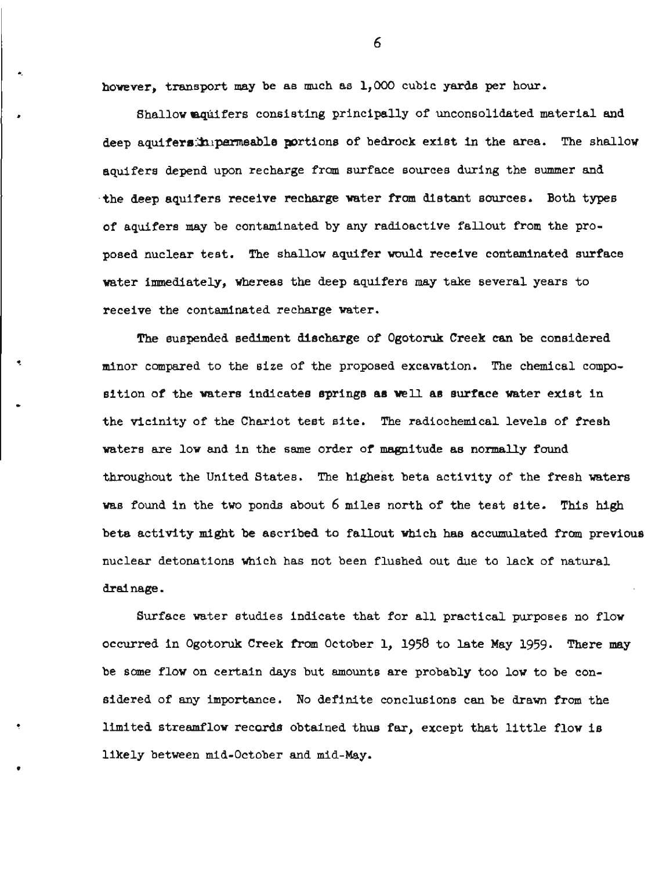however, transport may be as much as 1,000 cubic yards per hour.

Shallow aquifers consisting principally of unconsolidated material and deep aquifersinipermeable portions of bedrock exist in the area. The shallow aquifers depend upon recharge from surface sources during the summer and the deep aquifers receive recharge water from distant sources. Both types of aquifers may be contaminated by any radioactive fallout from the proposed nuclear test. The shallow aquifer would receive contaminated surface water immediately, whereas the deep aquifers may take several years to receive the contaminated recharge water.

The suspended sediment discharge of Ogotoruk Creek can be coneidered minor compared to the size of the proposed excavation. The chemical composition of the waters indicates springs as well as surface water exist in the vicinity of the Chariot test site. The radiochemical levels of fresh waters are low and in the same order of magnitude as normally found throughout the United States. The highest beta activity of the fresh waters was found in the two ponds about 6 miles north of the test site. This high beta activity might be ascribed to fallout which has accumulated from previous nuclear detonations which has not been flushed out due to lack of natural drainage.

Surface water studies indicate that for all practical purposes no flow occurred in Ogotoruk Creek from October 1, 1958 to late May 1959. There **may**  be some flow on certain days but amounts are probably too low to be considered of any importance. No definite conclusions can be drawn from the limited streamflow records obtained thus far, except that little flow is likely between mid-October and mid-May.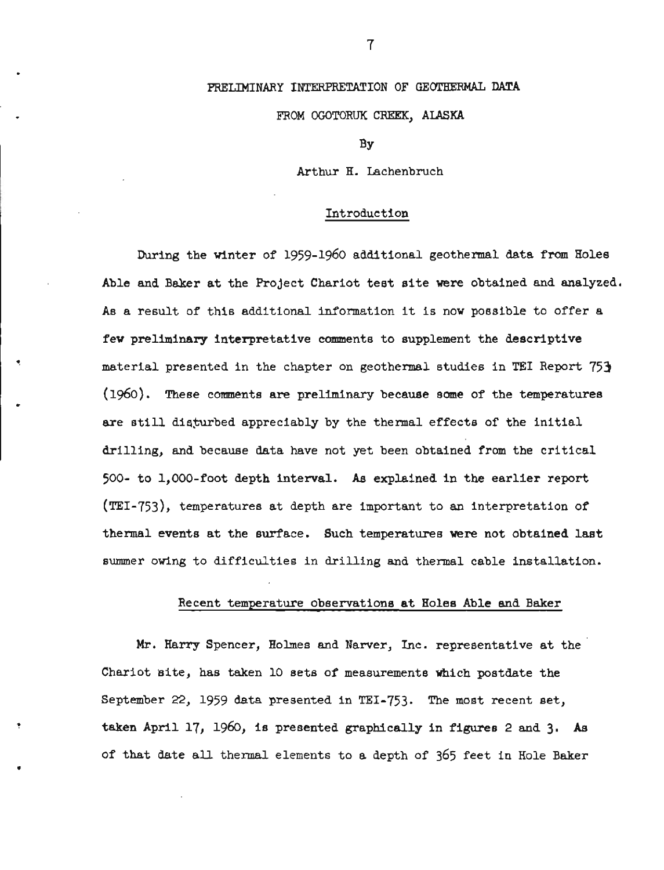## PRELIMINARY INTERPRETATION OF GEOTHERMAL DATA

### FROM **OGOTORUK** CREEK, ALASKA

**BY** 

Arthur H. Lachenbruch

#### Introduction

During the winter of 1959-1960 additional geothermal data from Holes Able and Baker at the ProJect Chariot test site were obtained and analyzed. As a result of this additional information it is now possible to offer a few preliminary interpretative comments to supplement the descriptive material presented in the chapter on geothermal studies in **TEI** Report 753 (1960). These comments are preliminary because some of the temperatures are still disturbed appreciably by the thermal effects of the initial drilling, and because data have not yet been obtained from the critical **500-** to 1,000-foot depth interval. As explained in the earlier report (TEI-753), temperatures at depth are important to an interpretation of thermal events at the surface. Such temperatures were not obtained last summer owing to difficulties in drilling and thermal cable installation.

#### Recent temperature observations at Holee Able **and** Baker

Mr. Harry Spencer, Holmes and Narver, Inc. representative at the Chariot Bite, has taken 10 sets of measurements which postdate the September 22, 1959 data presented in TEI-753. The most recent set, taken April 17, 1960, is presented graphically in figures 2 and 3. **As**  of that date all thermal elements to a depth of 365 feet in Hole Baker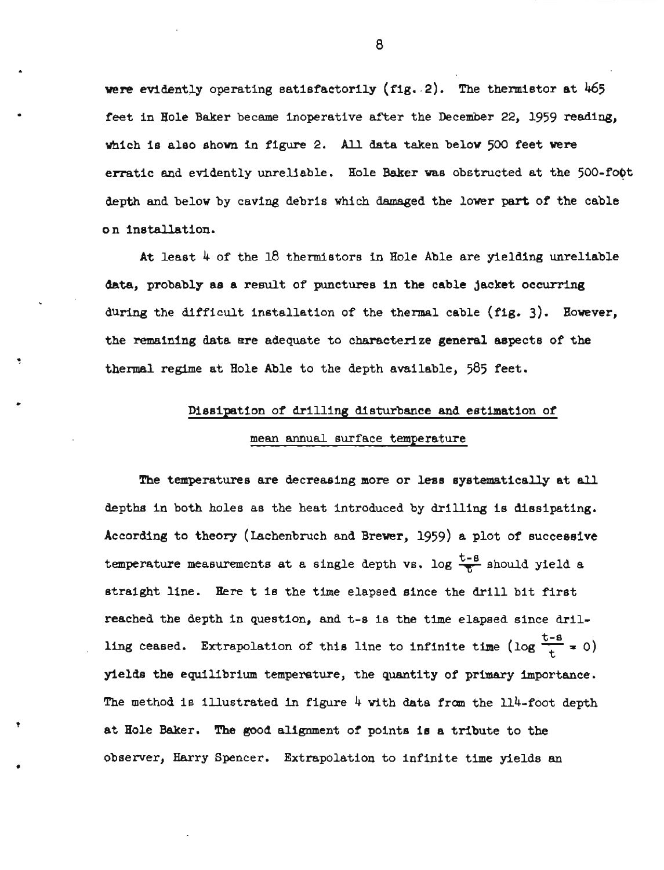were evidently operating satisfactorily (fig. 2). The thermistor at 465 feet in Bole Baker became inoperative after the December 22, 1959 reading, which Is also shown in figure 2. All data taken below 500 feet were erratic and evidently unreliable. Hole Baker was obstructed at the 500-foot depth and below by caving debris which damaged the lower part of the cable on installation.

At least  $4$  of the 18 thermistors in Hole Able are yielding unreliable data, probably as a result of punctures in the cable Jacket occurring during the difficult installation of the thermal cable  $(fig. 3)$ . However, the remaining data are adequate to characterize general aspects of the thermal regime at Hole Able to the depth available, 585 feet.

## Dissipation of drilling disturbance and estimation of

## mean annual surface temperature

The temperatures are decreasing more or less systematically at all depths in both holes as the heat introduced by drilling is dissipating. According to theory (Lachenbruch and Brewer, 1959) a plot of successive temperature measurements at a single depth vs. log  $\frac{t-8}{5}$  should yield a straight line. Here t is the time elapsed since the drill bit first reached the depth in question, and t-s is the time elapsed since drilling ceased. Extrapolation of this line to infinite time (log  $\frac{t-8}{t} = 0$ ) ylelds the equilibrium temperature, the quantity of primary importance. The method is illustrated in figure  $4$  with data from the  $114$ -foot depth at Hole Baker. The good alignment of points is a tribute to the observer, Harry Spencer. Extrapolation to infinite time yields an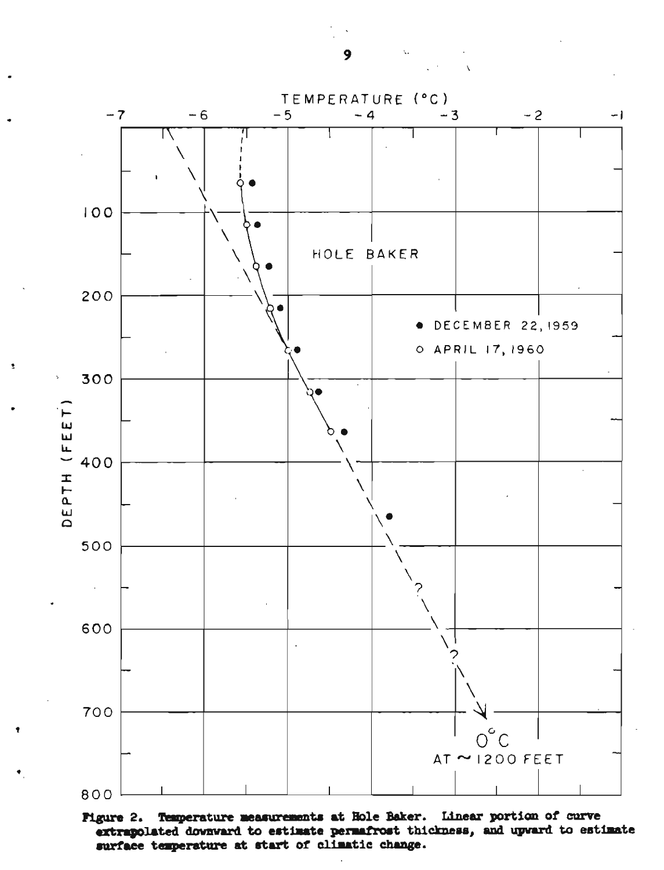$\mathbf{9}$ 



Temperature measurements at Hole Baker. Linear portion of curve **Pigure 2.** extrapolated downward to estimate permafrost thickness, and upward to estimate surface temperature at start of climatic change.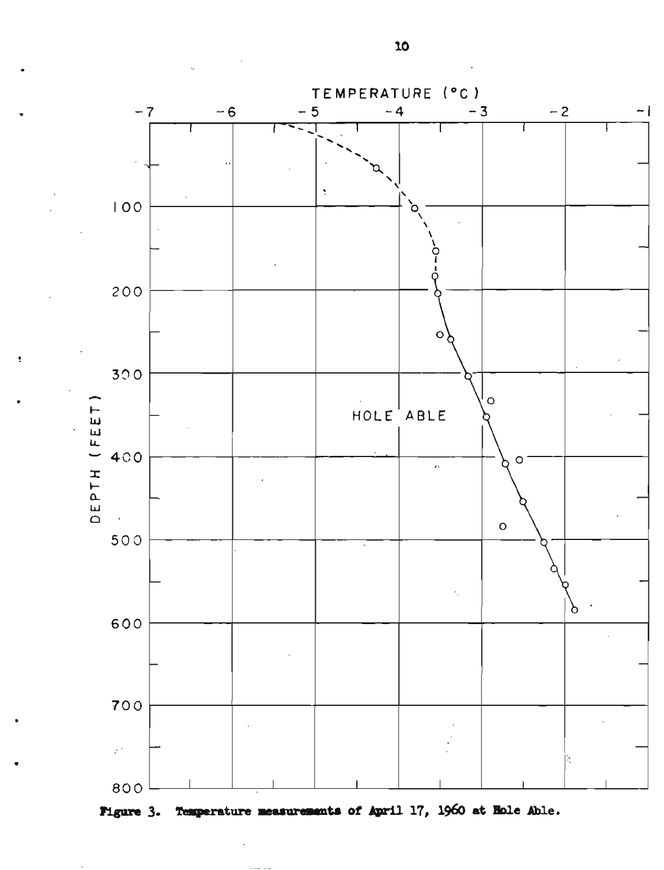

Temperature measurements of April 17, 1960 at Hole Able. **Figure 3.**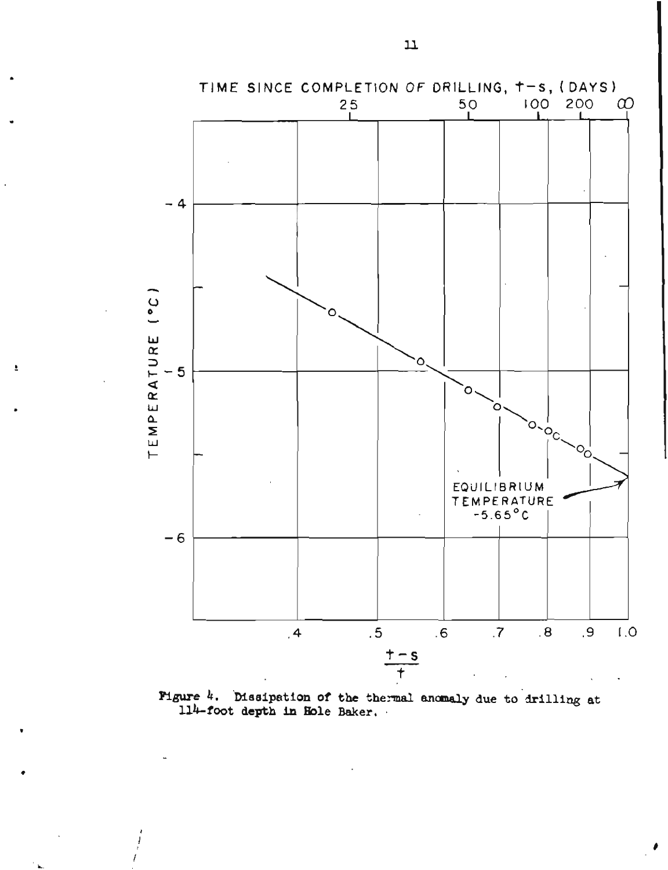

 $\overline{\bullet}$ 

Pigure 4. Dissipation of the thermal anomaly due to drilling at 114-foot depth in Hole Baker.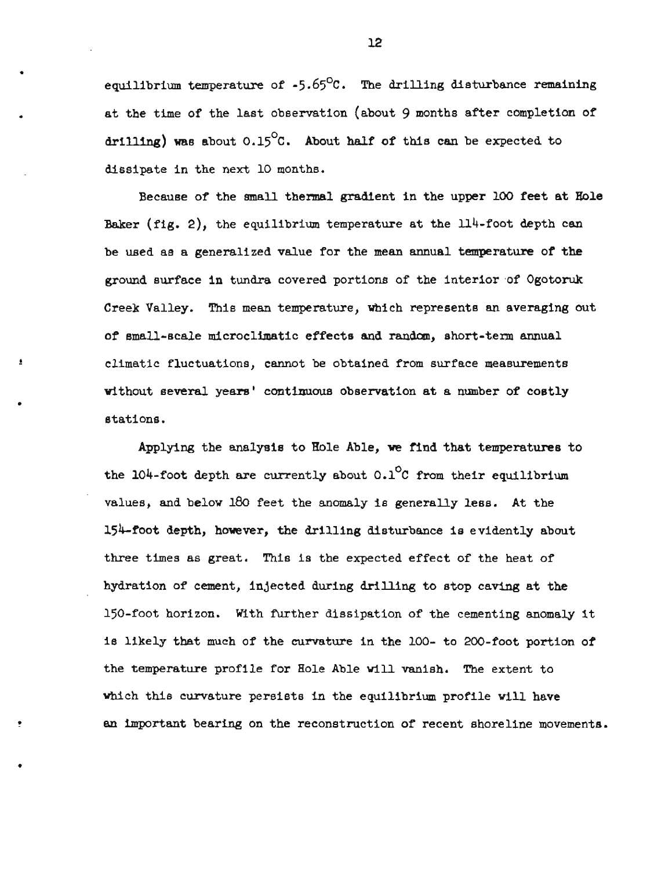equilibrium temperature of  $-5.65^{\circ}$ C. The drilling disturbance remaining at the time of the last observation (about 9 months after completion of drilling) was about  $0.15^{\circ}$ C. About half of this can be expected to dissipate in the next 10 months.

Because of the mall thennal gradient in the upper 100 feet at Role Baker (fig. 2), the equilibrium temperature at the 114-foot depth can be used as a generalized value for the mean annual temperature of the ground surface in tundra covered portions of the interior of Ogotoruk Creek Valley. This mean temperature, which represents an averaging out of small-scale microclimatic effects and random, short-term annual climatic fluctuations, cannot be obtained from surface measurements without several **years'** continuous observation at a number of costly stations.

Applying the analysis to Hole Able, **we** find that temperatures to the 104-foot depth are currently about  $0.1^{\circ}$ C from their equilibrium values, and below 180 feet the anomaly is generally less. At the 154-foot depth, however, the drilling disturbance is evidently about three times as great. This is the expected effect of the heat of hydration of cement, injected during drilling to stop caving at the 150-foot horizon. With further dissipation of the cementing anomaly it is likely that much of the curvature in the 100- to 200-foot portion of the temperature profile for Hole Able will vanish. The extent to which this curvature persists in the equilibrium profile will have an important bearing on the reconstruction of recent shoreline movements.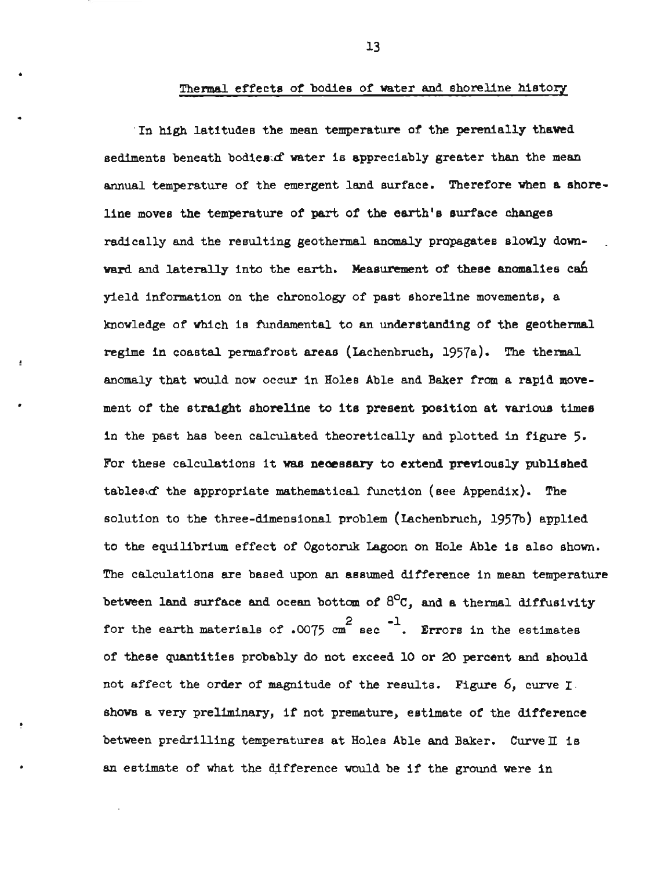## Thermal effects of bodies of water and shoreline history

In high latitudes the mean temperature of the perenially thawed sediments beneath bodies of water is appreciably greater than the mean annual temperature of the emergent land surface. Therefore when a shoreline moves the temperature of part of the earth's surface changes radically and the resulting geothermal anomaly propagates slowly down- . ward and laterally into the earth. Measurement of these anomalies can yield information on the chronology of past shoreline movements, a knowledge of which is fundamental to an understanding of the geothermal regime in coastal permafrost areas (Lachenbruch,  $1957a$ ). The thermal anomaly that would now occur in Holes Able and Baker from a rapid movement of the straight shoreline to its present position at various times in the past has been calculated theoretically and plotted in figure **5.**  For these calculations it was necessary to extend previously published tables  $d$  the appropriate mathematical function (see Appendix). The solution to the three-dimensional problem (Lachenbruch, 1957b) applied to the equilibrium effect of Ogotoruk Lagoon on Hole Able is also shown. The calculations are based upon an assumed difference in mean temperature between land surface and ocean bottom of  $6^{\circ}$ C, and a thermal diffusivity for the earth materials of .0075 cm<sup>2</sup> sec<sup>-1</sup>. Errors in the estimates of these quantities probably do not exceed 10 or 20 percent and should not affect the order of magnitude of the results. Figure 6, curve *I*  shows a very preliminary, if not premature, estimate of the difference between predrilling temperatures at Holes Able and Baker. Curvell is an estimate of what the difference would be if the ground were in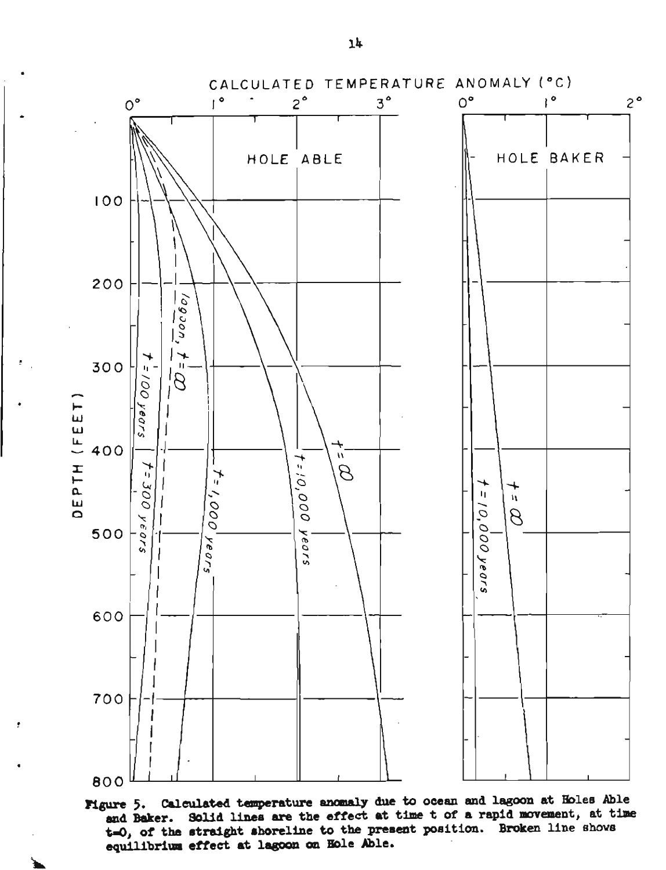

Figure 5. Calculated temperature anomaly due to ocean and lagoon at Holes Able and Baker. Solid lines are the effect at time t of a rapid movement, at time t=0, of the straight shoreline to the present position. Broken line shows equilibrium effect at lagoon on Hole Able.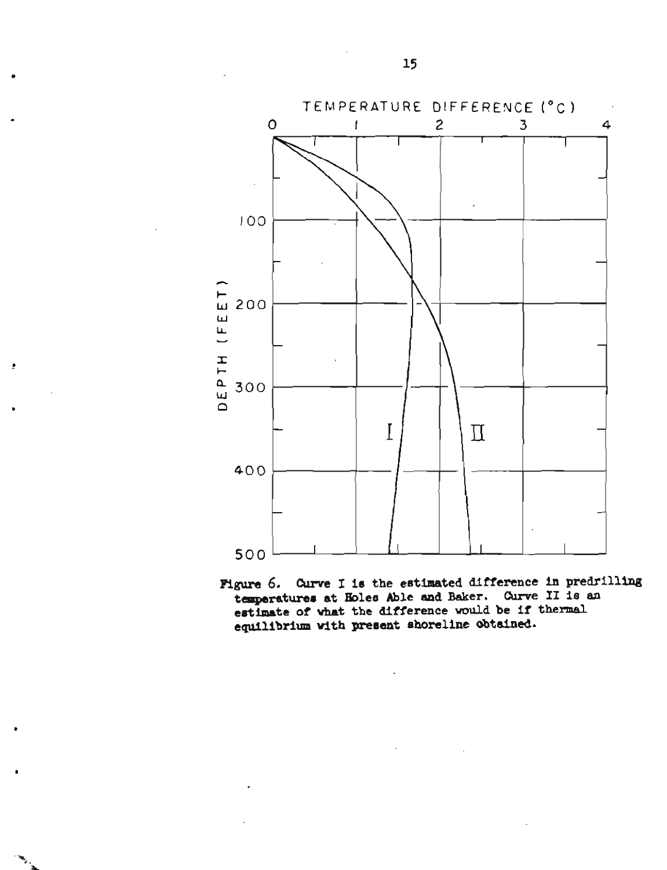

**Figure** *6.* **Cumre I is the estimsted difference in predrilling tanperatures at Boles Able and Baker. Curve I1 is an**  estimate of what the difference would be if thermal **equilibrium with prerent shoreline obtained.**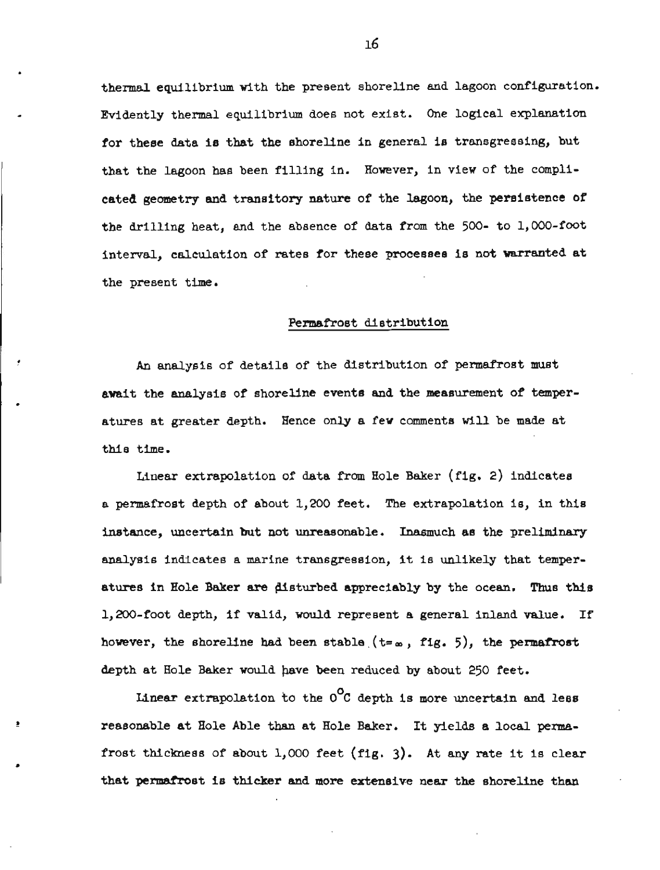thermal equilibrium with the present shoreline and lagoon configuration. Evidently thermal equilibrium does not exist. One logical explanation for these data is that the shoreline in general is transgressing, but that the lagoon has been filling in. However, in view of the complicated geometry **and** transitory nature of the lagoon, the persistence of the drilling heat, and the absence of data from the 500- to 1,000-foot interval, calculation of rates for these processes is not warranted at the present time.

#### Permafrost distribution

An analysis of details of the distribution of permafrost must await the analysis of shoreline events and the measurement of temperatures at greater depth. Hence only a few comments will be made at this time.

Linear extrapolation of data from Hole Baker (fig, 2) indicates a permafrost depth of about 1,200 feet. The extrapolation is, in this instance, uncertain but not unreasonable. Inasmuch as the preliminary analysis indicates a marine transgression, it is unlikely that temperatures in Hole Baker are disturbed appreciably by the ocean. Thus this 1,200-foot depth, if valid, would represent a general inland value, If however, the shoreline had been stable  $(t = \infty, f_0, f_1)$ , the **permafrost** depth at Hole Baker would have been reduced by about 250 feet.

Linear extrapolation to the  $0^{\circ}$ C depth is more uncertain and less reasonable at Hole Able than at Hole Baker, It yields a local permafrost thickness of about 1,000 feet (fig. 3). At any rate it is clear that permafrost is thicker and more extensive near the shoreline than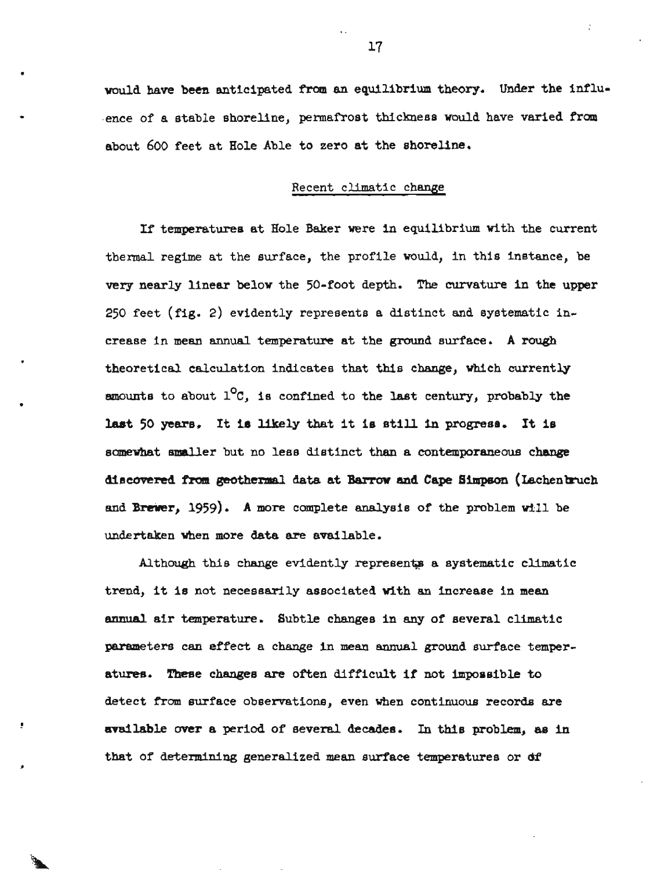would **have been** anticipated from **an** equilibrium theory. Under **the** influence of a stable shoreline, permafrost thickness would have varied from about **600** feet at Hole Able to zero at the shoreline.

## Recent climatic change

If temperatures at Hole Baker were in equilibrium with the current thermal regime at the surface, the profile would, in this instance, be **very** nearly linear below the 50-foot depth. **The** curvature in the upper 250 feet (fig. 2) evidently represents a distinct and systematic increase in mean annual temperatwe at the ground surface. **A rough**  theoretical calculation indicates that this change, which currently amounts to about  $1^{\circ}$ C, is confined to the last century, probably the **laat <sup>50</sup>**years, It **is** likely that it is still **in** progress. It **is**  somewhat smaller but no less distinct than **a** contemporaneous change **diemred** from **geothermal data at Barrow and Cape Simpson** (~achenbnrch and Brewer, 1959). **A** more complete analysis of the problem will be undertaken when more data **are** available.

Although this change evidently represents a systematic climatic trend, it is not necessarily associated with an increase in mean **annual** air temperature. Subtle changes in **any** of several climatic meters can effect a change in **mean** annual ground surface temper**atures.** These changes **are** often difficult if not impossible to detect from surface observations, even when continuous records are available over a period of several decades. In this problem, as in that of determining generalized **mean** surface temperatures or **df**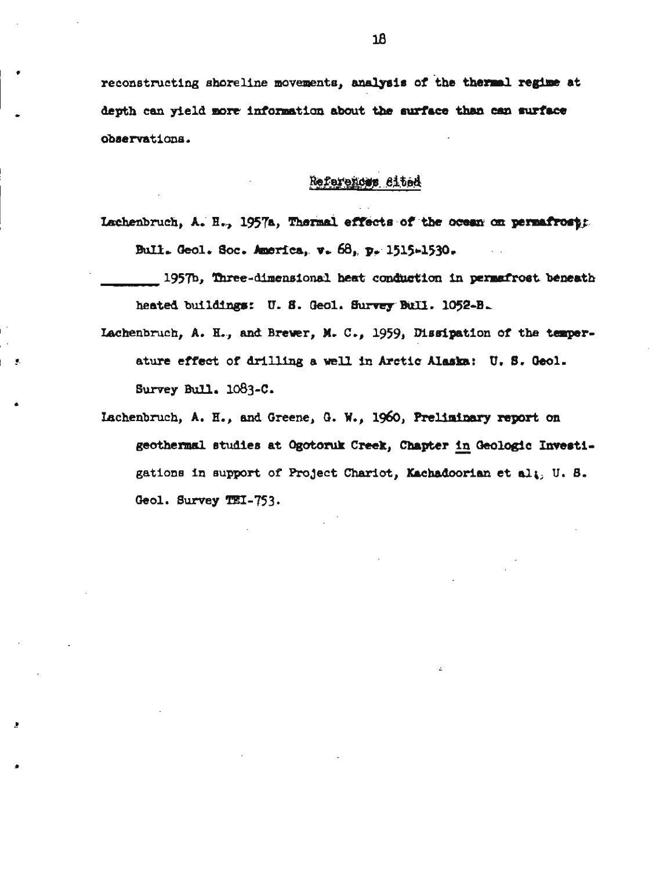reconstructing shoreline movements, analysis of the thermal regime at depth can yield more information about the surface than can surface observations.

## References Sited

Lachenbruch, A. H., 1957a, Thermal effects of the ocean on permafrosts. Bull. Geol. Soc. America, v. 68, p. 1515-1530.

1957b, Three-dimensional heat conduction in permafrost beneath heated buildings: U. S. Geol. Survey Bull. 1052-B.

- Lachenbruch, A. H., and Brewer, M. C., 1959, Dissipation of the temperature effect of drilling a well in Arctic Alaska: U. S. Geol. Survey Bull. 1083-C.
- Lachenbruch, A. H., and Greene, G. W., 1960, Preliminary report on geothermal studies at Ogotoruk Creek, Chapter in Geologic Investigations in support of Project Chariot, Kachadoorian et alt. U. S. Geol. Survey TEI-753.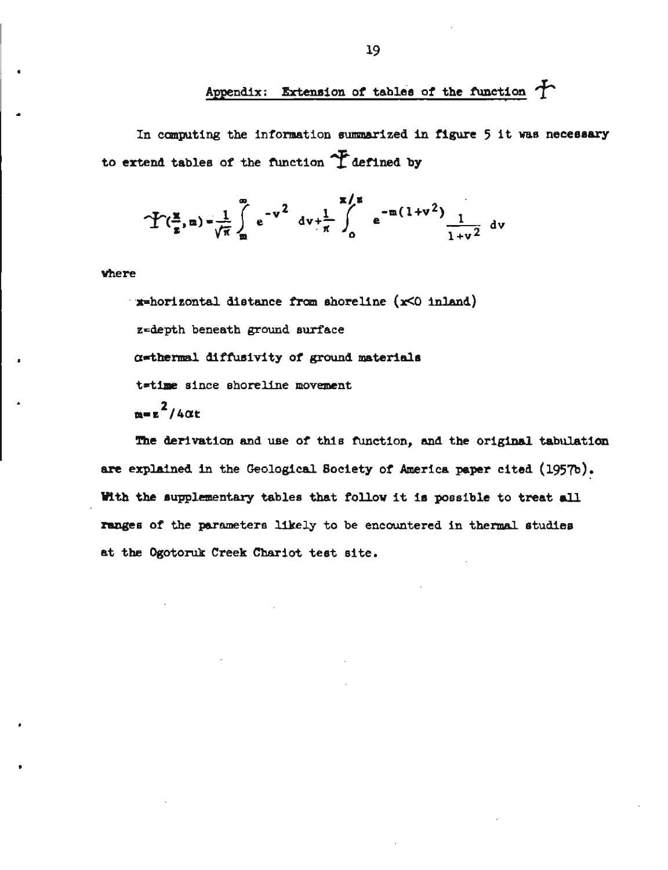## Appendix: Extension of tables of the function  $\bigwedge$

In conputing the information summarized **in figure** 5 it was neceesary to extend tables of the function  $\tilde{T}$  defined by

$$
\mathbf{Y}(\frac{\mathbf{x}}{\mathbf{z}},\mathbf{m}) = \frac{1}{\sqrt{\pi}} \int_{\mathbf{m}}^{\infty} e^{-v^2} dv + \frac{1}{\pi} \int_{0}^{\mathbf{x}/\mathbf{z}} e^{-\mathbf{m}(1+v^2)} \frac{1}{1+v^2} dv
$$

where

**x=horizontal distance from shoreline (x<0 inland)** z=depth beneath ground surface  $\alpha$ =thermal diffusivity of ground materials t=tlme since shoreline movement  $m = z^2/4\alpha t$ 

**The** derivation and use of this function, and the original tabulation are explained in the Geological Society of America paper cited (1957b). Vith the eupplementary tables that follow it 18 possible to treat **all**  ranges of the parameters likely to be encountered in thermal studies at the Ogotoruk Creek Chariot teet site.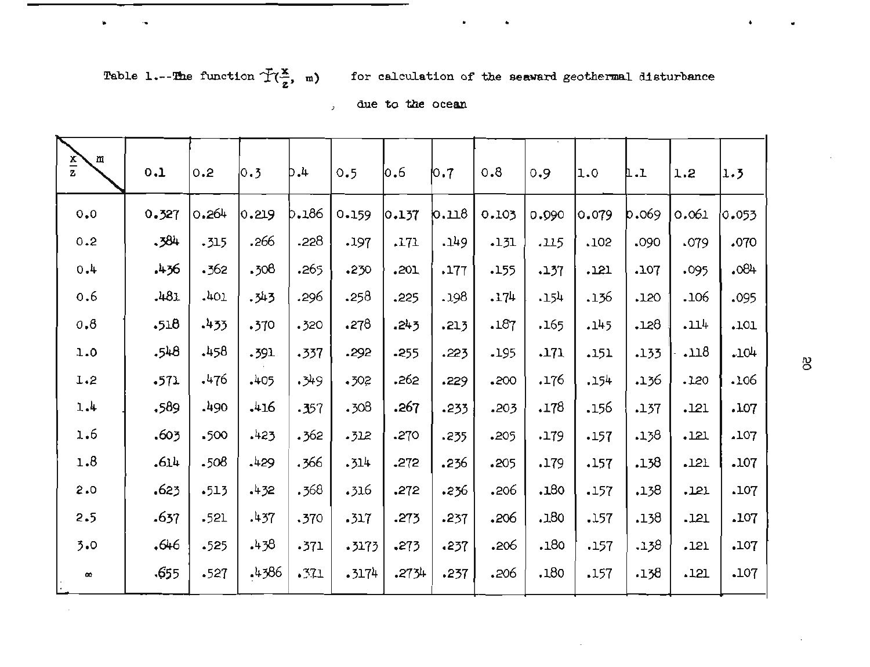**f**  $\frac{1}{2}$  **b**  $\frac{1}{2}$  **c**  $\frac{1}{2}$  **c**  $\frac{1}{2}$  **c**  $\frac{1}{2}$  **c**  $\frac{1}{2}$  **c**  $\frac{1}{2}$  **c**  $\frac{1}{2}$  **c**  $\frac{1}{2}$  **c**  $\frac{1}{2}$  **c**  $\frac{1}{2}$  **c**  $\frac{1}{2}$  **c**  $\frac{1}{2}$  **c**  $\frac{1}{2}$  **c**  $\frac{1}{2}$  **c**  $\frac{1}{2}$ 

Table 1.--The function  $\tilde{T}(\frac{x}{z}, m)$  for calculation of the seaward geothermal disturbance

, **due to the ocean** 

| $rac{x}{z}$<br>m | 0.1   | 0.2    | 0.3   | b.4    | 0.5   | 0.6   | $\mathsf{I}^\circ$        | 0.8   | 0.9   | 11.O  | 1.L   | 1.2   | 1.3   |
|------------------|-------|--------|-------|--------|-------|-------|---------------------------|-------|-------|-------|-------|-------|-------|
| $0.0$            | 0.327 | 0.264  | 0.219 | b.186  | 0.159 | 0.137 | $\mathbf{b}.\mathbf{n}$ 8 | 0.103 | 0.090 | 0.079 | b.069 | 0.061 | 0.053 |
| 0.2              | .584  | .315   | .266  | .228   | .197  | .171  | .149                      | .131  | .115  | .102  | .090  | .079  | .070  |
| 4.0              | .436  | .362   | .308  | .265   | .230  | .201  | .177                      | .155  | .137  | .121  | .107  | .095  | .084  |
| 0.6              | .481  | .401   | -343  | .296   | .258  | .225  | .198                      | .174  | .154  | .136  | .120  | .106  | .095  |
| 0,8              | .518  | .433   | .370  | .320   | .278  | .243  | .213                      | .187  | .165  | .145  | .128  | .114  | .101  |
| 1.0              | .548  | 458    | .391  | .337   | .292  | .255  | .223                      | .195  | .171  | .151  | .133  | .118  | .104  |
| L.2              | .571  | .476   | .405  | .349   | .502  | .262  | .229                      | .200  | .176  | .154  | .136  | .120  | .106  |
| 1.4              | .589  | .490   | .416  | $-357$ | .308  | .267  | .233                      | .203  | .178  | .156  | .137  | .121  | .107  |
| 1.6              | .603  | .500   | .423  | .362   | -312  | .270  | .235                      | .205  | .179  | .157  | .138  | .121  | .107  |
| 1.8              | .614  | .508   | .429  | .366   | .314  | .272  | .236                      | .205  | .179  | .157  | .138  | .121  | .107  |
| 2.0              | 623.  | .513   | .432  | .368   | .316  | .272  | .236                      | .206  | .180  | .157  | .138  | .121  | .107  |
| 2.5              | .637  | .521   | .437  | .370   | .317  | .273  | .237                      | .206  | .180  | .157  | .138  | .121  | .107  |
| 3.0              | .646  | .525   | .438  | .371   | .3173 | .273  | .237                      | .206  | .180  | .157  | .138  | .121  | .107  |
| $\pmb{\infty}$   | .655  | $-527$ | .4386 | .371   | .3174 | .2734 | .237                      | .206  | .180  | .157  | .138  | .121  | .107  |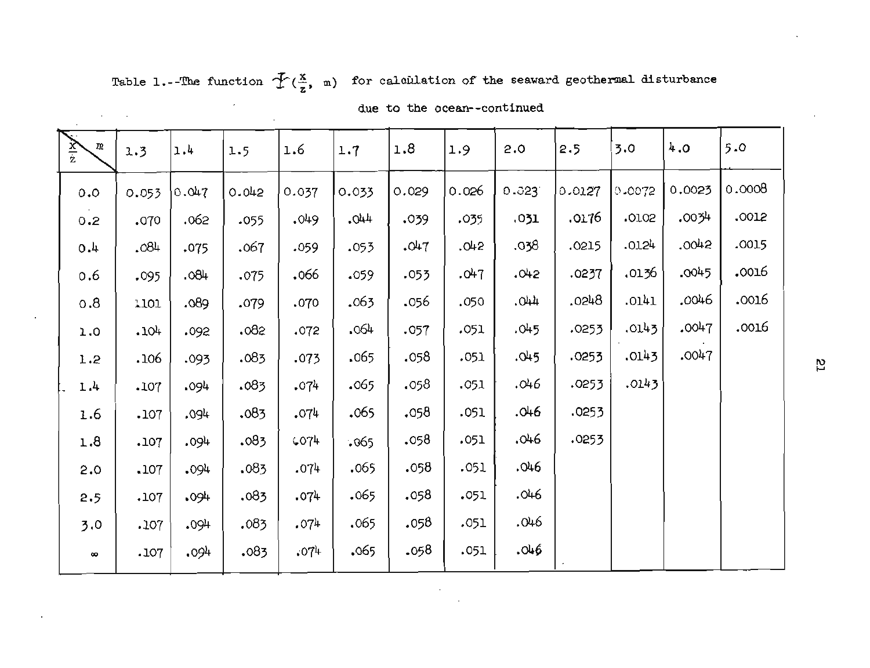Table 1.--The function  $\tilde{\mathcal{T}}(\frac{x}{z}, \mathbf{m})$  for calculation of the seaward geothermal disturbance

 $\mathcal{O}(10^{-10})$ 

 $\mathcal{L}_{\mathcal{A}}$ 

| $rac{1}{z}$<br>取 | 1.3   | 1.4   | 1.5   | 1.6   | 1.7    | 1.8   | 1.9   | 2.0   | 2.5    | 3.0    | 4.0    | 5.0    |
|------------------|-------|-------|-------|-------|--------|-------|-------|-------|--------|--------|--------|--------|
| 0.0              | 0.053 | 0.047 | 0.042 | 0.037 | 0.033  | 0.029 | 0.026 | 0.023 | 0.0127 | 0.0072 | 0.0023 | 0.0008 |
| 0.2              | .070  | .062  | .055  | .049  | $+40.$ | .039  | .035  | .031  | .0176  | .0102  | .0034  | .0012  |
| 4.0              | .084  | .075  | .067  | .059  | .053   | .047  | .042  | .038  | .0215  | .0124  | .0042  | .0015  |
| 0.6              | .095  | .084  | .075  | .066  | .059   | .053  | .047  | .042  | .0237  | .0136  | .0045  | .0016  |
| 0.8              | 1101  | .089  | .079  | .070  | .063   | .056  | .050  | .044  | .0248  | .0141  | .0046  | .0016  |
| 1.0              | .104  | .092  | .082  | .072  | .064   | .057  | .051  | .045  | .0253  | .0143  | .0047  | .0016  |
| 1.2              | .106  | .093  | .083  | .073  | .065   | .058  | .051  | .045  | .0253  | .0143  | .0047  |        |
| 1.4              | .107  | .094  | .083  | .074  | .065   | .058  | .051  | .046  | .0253  | .0143  |        |        |
| 1.6              | .107  | .094  | .083  | .074  | .065   | .058  | .051  | .046  | .0253  |        |        |        |
| 1.8              | .107  | .094  | .083  | 6074  | .065   | .058  | .051  | .046  | .0253  |        |        |        |
| 2.0              | .107  | .094  | .083  | .074  | .065   | .058  | .051  | .046  |        |        |        |        |
| 2.5              | .107  | .094  | .083  | .074  | .065   | .058  | .051  | .046  |        |        |        |        |
| 3.0              | .107  | .094  | .083  | .074  | .065   | .058  | .051  | .046  |        |        |        |        |
| $\infty$         | .107  | .094  | .083  | .074  | .065   | .058  | .051  | .046  |        |        |        |        |

**due to the ocean--continued**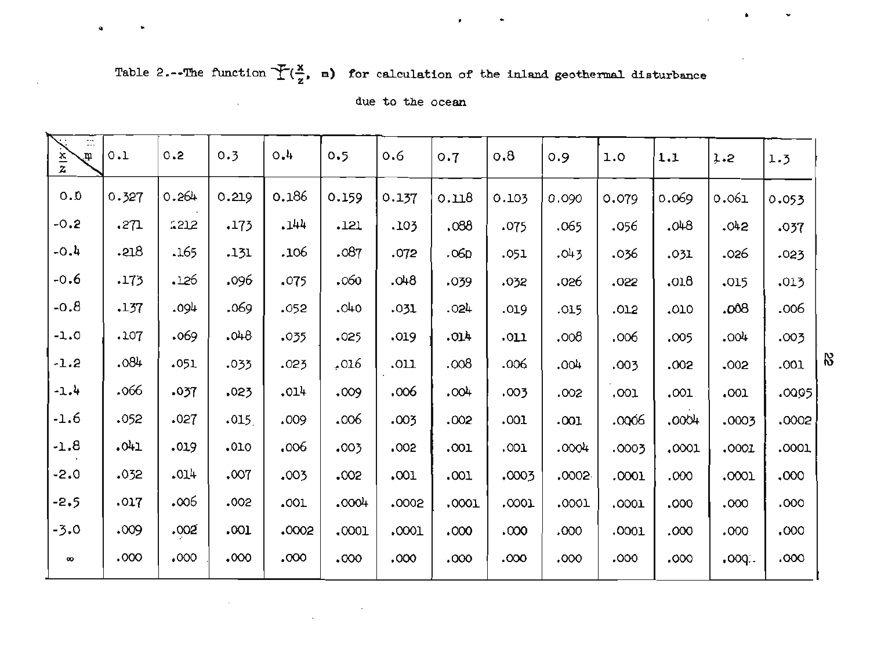# Table 2.--The function  $\overline{\mathcal{F}(\frac{x}{z})}$ , m) for calculation of the inland geothermal disturbance

 $\bf{Q}$ 

 $\sim$ 

|  |  |  | due to the ocean |
|--|--|--|------------------|
|--|--|--|------------------|

| $\ddot{\ldots}$<br>$\frac{x}{z}$<br>$\mathfrak{m}$ | 0.1   | 0.2   | 0.3   | 0.4   | 0.5   | 0.6   | 0.7   | 0.8   | 0.9   | 1.0   | 1.1   | 1.2    | 1.3   |
|----------------------------------------------------|-------|-------|-------|-------|-------|-------|-------|-------|-------|-------|-------|--------|-------|
| 0.0                                                | 0.327 | 0.264 | 0.219 | 0.186 | 0.159 | 0.137 | 0.118 | 0.103 | 0.090 | 0.079 | 0.069 | 0.061  | 0.053 |
| $-0.2$                                             | .271  | 1212  | .173  | .144  | .121  | .103  | 880.  | .075  | .065  | .056  | .048  | .042   | .037  |
| $-0.4$                                             | .218  | .165  | .131  | .106  | .087  | .072  | .06D  | .051  | .043  | .036  | .031  | -026   | .023  |
| -0.6                                               | .173  | .126  | ,096  | .075  | .060  | 840.  | .039  | .032  | .026  | .022  | .018  | .015   | .013  |
| -0.8                                               | .137  | .094  | .069  | .052  | .040  | .031  | .024  | .019  | .015  | .012  | .010  | .008   | .006  |
| $-1.0$                                             | .107  | .069  | .048  | .035  | .025  | .019  | .014  | .011  | 000.  | ,006  | .005  | $+00+$ | .003  |
| $-1.2$                                             | .084  | .051  | .033  | .023  | 016ء  | .011  | .008  | .006  | .004  | .003  | .002  | .002   | .001  |
| $-1.4$                                             | .066  | .037  | .023  | .014  | .009  | .006  | .004  | .003  | .002  | .001  | .001  | .001   | .0095 |
| -1.6                                               | .052  | .027  | .015  | ,009  | .006  | .003  | .002  | .001  | .001  | .0006 | .0004 | .0003  | .0002 |
| $-1.8$                                             | -041  | .019  | .010  | ,006  | .003  | .002  | .001  | .001  | .0004 | .0003 | .0001 | .0001  | .0001 |
| $-2.0$                                             | .032  | -014  | .007  | .003  | .002  | .001  | .001  | 0003  | .0002 | .0001 | .000  | .0001  | ,000  |
| $-2.5$                                             | .017  | 006.  | .002  | .001  | 0004  | .0002 | .0001 | .0001 | .0001 | .0001 | .000  | .000   | .000  |
| -3.0                                               | .009  | .002  | .001  | .0002 | .0001 | .0001 | .000  | .000  | .000  | .0001 | .000  | .000   | .000  |
| $\infty$                                           | 000.  | .000  | .000  | .000  | .000  | .000  | .000  | 000.  | .000  | ,000  | .000  | .000.  | .000. |

 $\bar{z}$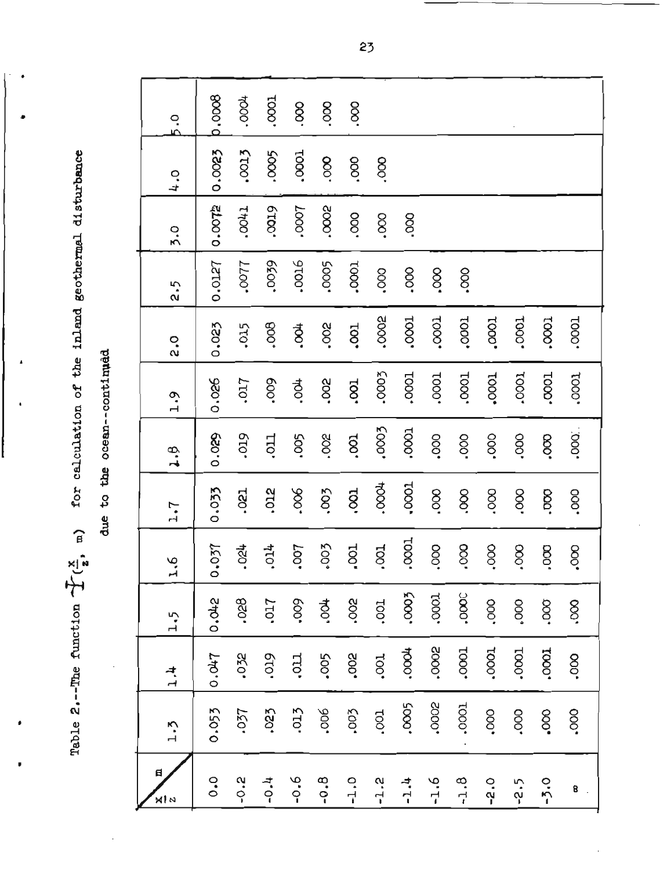Table 2.--The function  $T(\frac{x}{z}, -\pi)$  for calculation of the inland geothermal disturbance

due to the ocean--continued

| 5.0           | p.0008         | .0004      | 1000           | 8       | 8       | 8          |              |              |                |                          |        |             |                |                |
|---------------|----------------|------------|----------------|---------|---------|------------|--------------|--------------|----------------|--------------------------|--------|-------------|----------------|----------------|
| 2, 4          | 0.0023         | .0013      | .0005          | 1000.   | 800     | 800.       | 800          |              |                |                          |        |             |                |                |
| 5.0           | 0.0072         | 17700      | 6100.          | -0007   | .0002   | .000       | .000         | 8            |                |                          |        |             |                |                |
| 2.5           | 0.0127         | 1100.      | .0039          | ,0016   | ,0005   | .0001      | ,000         | $000 -$      | 8 <sub>o</sub> | .000                     |        |             |                |                |
| 2.0           | 0.023          | .015       | 800°           | ₹.      | .002    | .001       | .0002        | 1000.        | .0001          | .0001                    | .0001  | .0001       | .0001          | .0001          |
| $-1.9$        | 0.026          | ,017       | .009           | も<br>C. | Soc.    | 100.       | .0003        | LOOO.        | .0001          | 1000.                    | .0001  | 10001       | 1000           | 1000.          |
| 4.9           | 0.029          | <b>STO</b> | Lto.           | .005    | .002    | <b>isc</b> | ,0003        | .0001        | .co.           | .000                     | .000   | OOO.        | 8 <sub>c</sub> | .000.          |
| 7.7           | 0.033          | .021       | .012           | 800.    | 500.    | .001       | <b>SOO0.</b> | $-0001$      | .000.          | 8                        | .000   | Soc.        | OOO.           | $000$ .        |
| 3.5           | 0.037          | .024       | .014           | 100.    | 500,    | LOO.       | .001         | .0001        | .000           | $\overline{\mathrm{SO}}$ | .000   | $8^{\circ}$ | 8 <sub>o</sub> | 8 <sub>c</sub> |
| 1.5           | 0.042          | 830.       | 1017           | .009    | है<br>- | ,002       | 100.         | .0003        | .0001          | .000C                    | 000.   | 000°        | .000           | 800.           |
| $\frac{4}{1}$ | 0.047          | .032       | .019           | LC.     | .005    | 800        | .001         | <b>4000.</b> | .0002          | .0001                    | 10001  | .0001       | 10001          | ,000           |
| $-1.5$        | 0.053          | .037       | .023           | .013    | ,006    | ,003       | .001         | ,0005        | .0002          | .0001                    | 000.   | .000        | 000            | .000           |
| 日<br>×l ∽     | $\ddot{\circ}$ | $-0.2$     | $\ddot{ }$ -0. | $9.0 -$ | $-0.8$  | $-1.0$     | $-1.2$       | $-1.4$       | $-1.6$         | $-1.8$                   | $-2.0$ | $-2.5$      | $-5.0$         | 8              |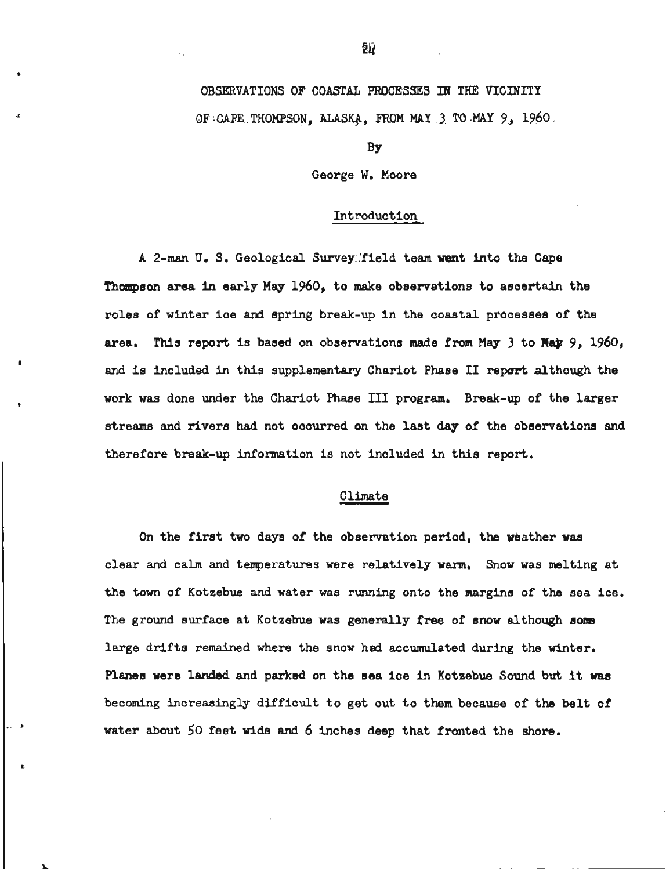# OBSEXVATIONS OF COASTAL **PROCESSES W THE** VICINITY OF CAPE THOMPSON, **ALASg,** FROM MAY **3 TO MAY** 9, **1960**

#### BY

### George W. Moore

## Introduction

<sup>A</sup>**2-man U. S.** Geological Survey.'field team **went** into the Cape Thompson area **In** early May 1960, to make observations to ascertain the roles of winter ice **and** spring break-up in the coastal processes of the area. This report is based on observations made from May 3 to **Hax** 9, 1960, and is included in this supplementary Chariot Phase II report although the work was done under the Chariot Phase III program. Break-up of the larger streams and rivers had not occurred on the last day of the observations **and**  therefore break-up information is not included in this report.

## Climate

On the first two days of the observation period, the weather was clear and calm and temperatures were relatively warn, Snow was melting at the town of Kotzebue and water was running onto the margins of the sea ice. The ground surface at Kotzebue was generally free of snow although som large drifts remained where the snow had accumulated during the winter. Planes were landed and parked on the sea ice In Kotzebue Sound but it was becoming increasingly duficult to get out to them because of the belt of water about 50 feet wide and 6 Inches deep that fronted the shore.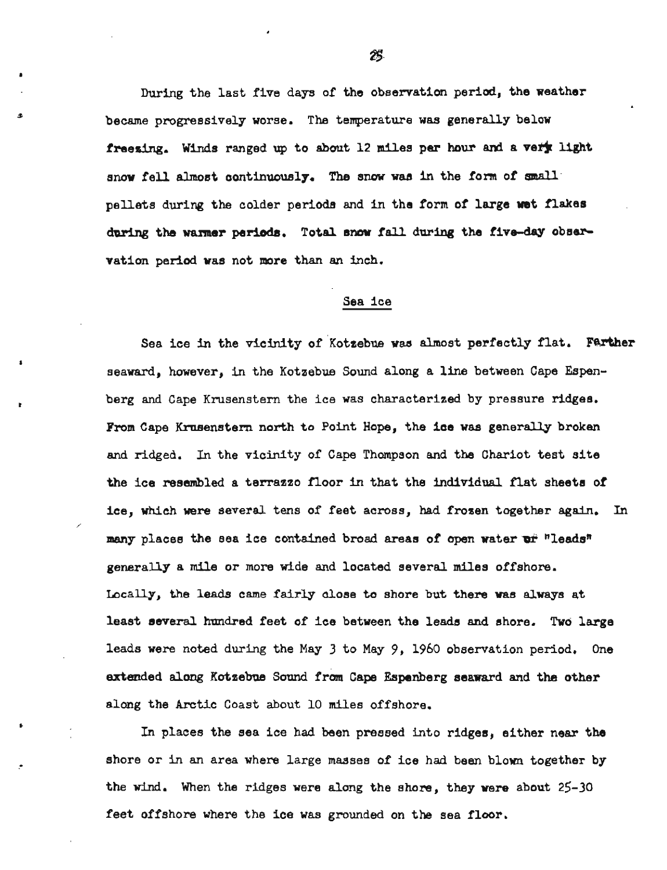**During** the last five days of the observation perid, the weather became progressively worse. The temperature was generally below freezing. Winds ranged up to about 12 miles per hour and a vert light snow fell almost continuously. The snow was in the form of small pellets during the colder periods and in the form of large wet flakes during the warmer periods. Total snow fall during the five-day observation period was not more than an inch.

#### Sea ice

Sea ice in the vicinity of Kotzebue was almost perfectly flat. Farther seaward, however, in the Kotzebue Sound along a line between Cape Espenberg and Cape Krusenstern the ice was characterized by pressure ridges. **From** Cape Krnsenstern north to Point Hope, the ice **was** generally broken and ridged. In the vicinity of Cape Thompson and the Chariot test site the ice resembled a terrazzo floor in that the individual flat sheets of ice, which were several tens of feet across, had frozen together again. In many places the sea ice contained broad areas of open water or "leads" generally a mile or more wide and located several miles offshore. Locally, the leads **came** fairly close to shore but there was always at least several hundred feet of ice between the leads and shore. Two large leads were noted during the May 3 to May 9, 1960 observation period. One extended **along** Kotzebue **Sound** from Cape Espenberg seaward and the other along the Arctic Coast about 10 miles offshore.

In places the sea ice had been pressed into ridges, either **near** the shore or in an area where large masses of ice had been blown together by the **wind.** When the ridges were along the shore, they were about 25-30 feet offshore where the ice was grounded on the sea floor.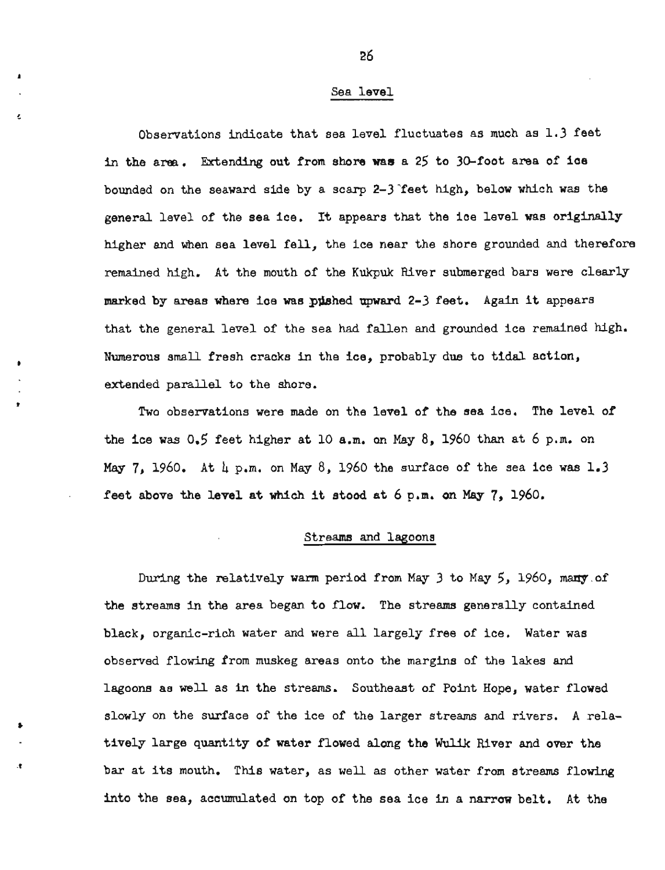## Sea level

Observations indicate that sea level fluctuates as much as 1.3 feet in the area. Extending out from shore was a 25 to 30-foot area of ice bounded on the seaward side by a scarp 2-3 'feet high, below which was the general level of the sea ice. It appears that the ice level was originally higher and when sea level fell, the ice near the shore grounded and therefore remained high. At the mouth of the Kukpuk River submerged bars were clearly marked by areas where ice **was** pwhed upward 2-3 feet. Again it appears that the general level of the sea had fallen and grounded ice remained high. Numerous small fresh cracks in the ice, probably due to tidal action, extended parallel to the shore.

Two observations were made on the level of the sea ice, The level of the ice was  $0.5$  feet higher at 10 a.m. on May  $8$ , 1960 than at 6 p.m. on May  $7$ , 1960. At  $\mu$  p.m. on May  $8$ , 1960 the surface of the sea ice was  $1.3$ feet above the level at **which** it stood at 6 **p.m.** on May 7, 1960.

#### Streams and lagoons

During the relatively warm period from May *3* to May *5,* 1960, many of the streams in the area began to flow. The streams generally contained black, organic-rich water and were all largely free of ice. Water was observed flowing from muskeg areas onto the margins of the lakes and lagoons as well as in the streams. Southeast of Point Hope, water flowed slowly on the surface of the ice of the larger streams and rivers. **A** relatively large quantity of water flowed along the **Wulik** River and over the bar at its mouth. This water, as well as other water from streams flowing into the sea, accumulated on top of the sea ice in a narrow belt. At the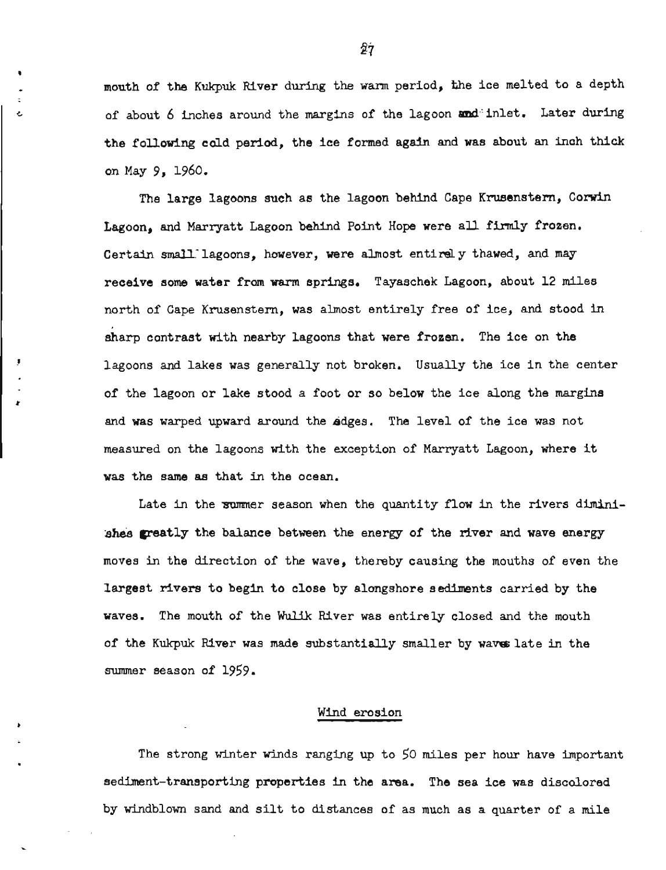mouth of the Kukpuk River during the warm period, %he ice melted to a depth of about 6 inches around the margins of the lagoon and inlet. Later during the following cold period, the ice formed again and was about an inch thick on May 9, 1960.

The large lagoons such as the lagoon behind Cape Krusenstern, Corwin Lagoon, and Marryatt Lagoon **behind** Point Hope were all firmly frozen. Certain small lagoons, however, were almost entirely thawed, and may receive some water from **warm** springs. Tayaschek Lagoon, about 12 miles north of Cape Krusenstern, was almost entirely free of ice, and stood in sharp contrast with nearby lagoons that were frosen. The ice on the lagoons and lakes was generally not broken. Usually the ice in the center of the lagoon or lake stood a foot or so below the ice along the margins and was warped upward around the sdges. The level of the ice was not measured on the lagoons with the exception of Marryatt Lagoon, where it was the same as that in the ocean,

Late in the summer season when the quantity flow in the rivers diminiahes greatly the balance between the energy of the river and wave energy moves in the direction of the wave, thereby causing the mouths of even the largest rivers to begin to close by alongshore sediments carried by the waves. The mouth of the Wulik River was entirely closed and the mouth of the Kukpuk River was made substantially smaller by waves late in the summer season of 1959.

## Wind erosion

The strong winter winds ranging up to 50 miles per hour have important sediment-transporting properties in the **area.** The sea ice was discolored by windblown sand and silt to distances of as much as a quarter of a mile

27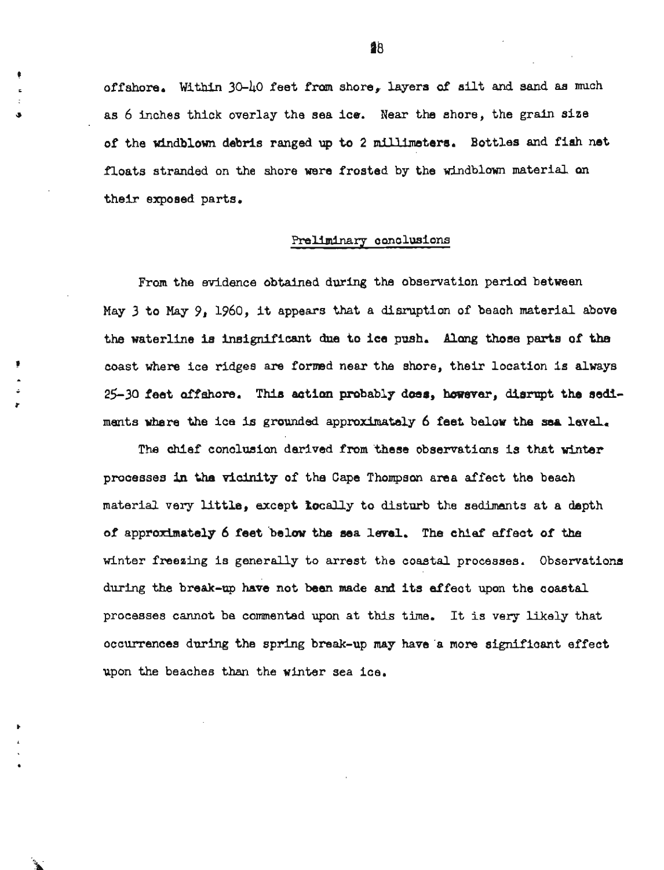off shore, Within **30-40** feet from shore, layers **of** silt and sand **as** much as 6 inches thick overlay the sea ice. Near the shore, the grain size of the windblown debris ranged **up** to 2 millimeters. Bottles and fish net floats stranded on the shore were frosted by the windblown material **an**  their exposed parts,

#### Preliminary conclusions

From the evidence obtained during the observation period between May 3 to May **9,** 1960, it appears **that** a disruption of beach material above the waterline is insignificant due to ice **push, Along** those parts of the *<sup>8</sup>*coast where ice ridges are formed near the shore, their location is always - 25-30 feet offshore. This actian probably does, **however,** disrupt the sea ments where the ice is grounded approximately 6 feet below the **sea** level,

**4'** 

The chief conclusion derived from 'these observatians is that **winter**  processes **in** the vicinity of the Cape Thompsan area affect the beach material very little, except *locally* to disturb the sediments at a depth of approximately 6 feet belaw the sea **level. The chief** effect of **the**  winter freeaing is generally to arrest the coastal processes. Observations during the break-up have not **ben** made and its effect upon the coastal processes cannot be commented upon at this time. It is very likely that occurrences during the spring break-up may have a more significant effect upon the beaches **than** the winter sea ice.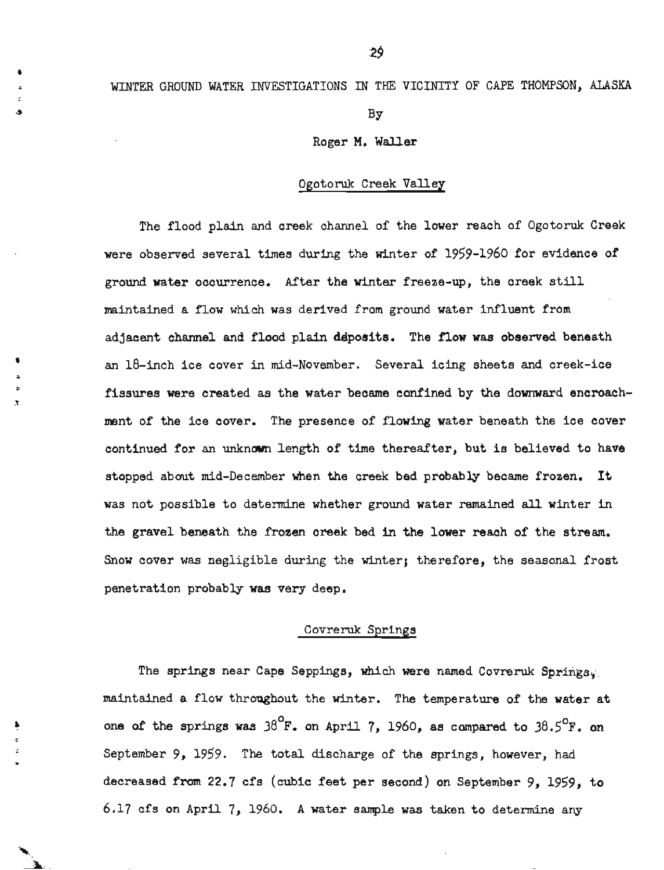## WINTER **GROUND WATER** INVESTIGATIONS IN THE VICINITY OF CAPE THOMPSON, ALASKA

BY

Roger **M,** Waller

## Ogotoruk Creek Valley

The flood plain and creek channel of the lower reach of Ogotoruk Creek were observed several times during the winter of 1959-1960 for evidence of ground water occurrence. After the winter freeze-up, the creek still maintained a flow which was derived from ground water influent from adjacent channel and flood plain deposits. The flow was observed beneath an 18-inch ice cover in mid-November. Several icing sheets and creek-ice fissures were created as the water became confined by the downward encroachment of the ice cover. The presence of flowing water beneath the ice cover continued for an unknown length of time thereafter, but is believed to have stopped about mid-December when the creek bed probably became frozen. It was not possible to determine whether ground water remained **all** winter in **the** gravel beneath the frozen creek bed in the lower reach of the stream. Snow cover was nagligible during the winter; therefore, the seasonal frost penetration probably was very deep.

## Covreruk Springs

The springs near Cape Seppings, which were named Covreruk Springs. maintained a flow throughout the winter. The temperature of the water at one of the springs was  $38^{\circ}$ F. on April 7, 1960, as compared to  $38.5^{\circ}$ F. on September 9, 1959. The total discharge of the springs, however, had decreased from 22.7 cfs (cubic feet per second) on September 9, 1959, to 6.17 cfs on April 7, 1960. A water **sample** was taken to determine any